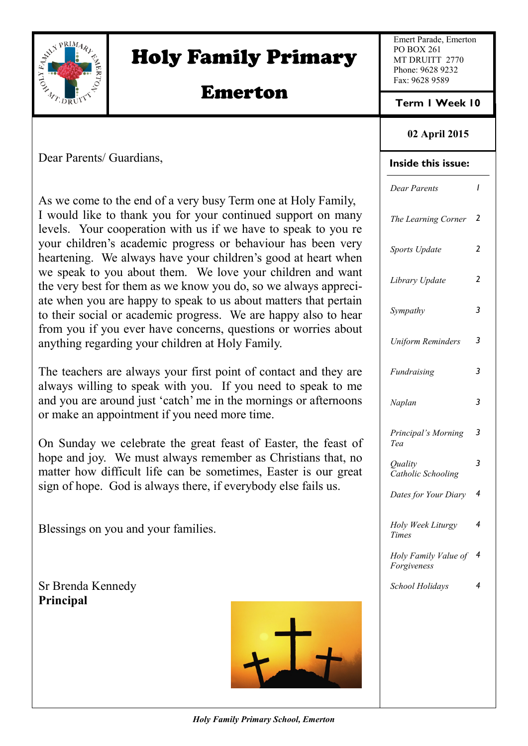

# Holy Family Primary

# Emerton

Emert Parade, Emerton PO BOX 261 MT DRUITT 2770 Phone: 9628 9232 Fax: 9628 9589

**Term 1 Week 10**

# **02 April 2015**

Dear Parents/ Guardians,

As we come to the end of a very busy Term one at Holy Family, I would like to thank you for your continued support on many levels. Your cooperation with us if we have to speak to you re your children's academic progress or behaviour has been very heartening. We always have your children's good at heart when we speak to you about them. We love your children and want the very best for them as we know you do, so we always appreciate when you are happy to speak to us about matters that pertain to their social or academic progress. We are happy also to hear from you if you ever have concerns, questions or worries about anything regarding your children at Holy Family.

The teachers are always your first point of contact and they are always willing to speak with you. If you need to speak to me and you are around just 'catch' me in the mornings or afternoons or make an appointment if you need more time.

On Sunday we celebrate the great feast of Easter, the feast of hope and joy. We must always remember as Christians that, no matter how difficult life can be sometimes, Easter is our great sign of hope. God is always there, if everybody else fails us.

Blessings on you and your families.

Sr Brenda Kennedy **Principal**



| <b>Inside this issue:</b>           |                         |
|-------------------------------------|-------------------------|
| Dear Parents                        | ı                       |
| The Learning Corner                 | 2                       |
| Sports Update                       | $\overline{\mathbf{c}}$ |
| Library Update                      | 2                       |
| Sympathy                            | 3                       |
| Uniform Reminders                   | 3                       |
| Fundraising                         | 3                       |
| Naplan                              | 3                       |
| Principal's Morning<br>Tea          | 3                       |
| Quality<br>Catholic Schooling       | 3                       |
| Dates for Your Diary                | 4                       |
| Holy Week Liturgy<br>Times          | 4                       |
| Holy Family Value of<br>Forgiveness | 4                       |
| School Holidays                     | 4                       |
|                                     |                         |
|                                     |                         |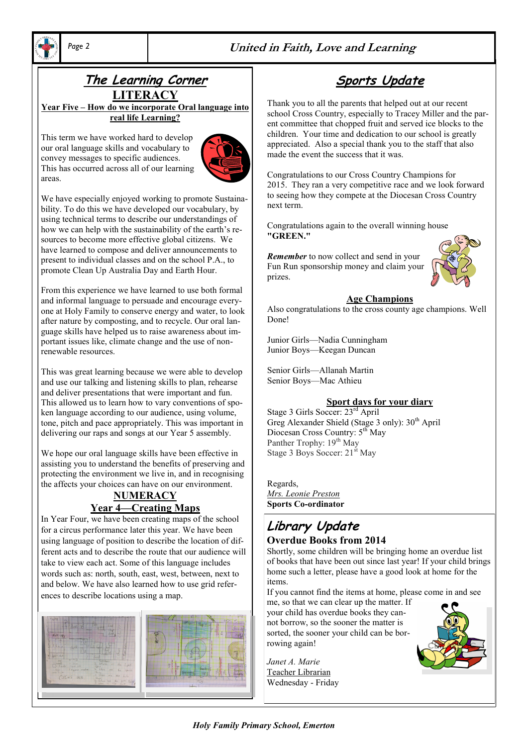

# *Page 2* **United in Faith, Love and Learning**

## **The Learning Corner LITERACY**

**Year Five – How do we incorporate Oral language into real life Learning?**

This term we have worked hard to develop our oral language skills and vocabulary to convey messages to specific audiences. This has occurred across all of our learning areas.



We have especially enjoyed working to promote Sustainability. To do this we have developed our vocabulary, by using technical terms to describe our understandings of how we can help with the sustainability of the earth's resources to become more effective global citizens. We have learned to compose and deliver announcements to present to individual classes and on the school P.A., to promote Clean Up Australia Day and Earth Hour.

From this experience we have learned to use both formal and informal language to persuade and encourage everyone at Holy Family to conserve energy and water, to look after nature by composting, and to recycle. Our oral language skills have helped us to raise awareness about important issues like, climate change and the use of nonrenewable resources.

This was great learning because we were able to develop and use our talking and listening skills to plan, rehearse and deliver presentations that were important and fun. This allowed us to learn how to vary conventions of spoken language according to our audience, using volume, tone, pitch and pace appropriately. This was important in delivering our raps and songs at our Year 5 assembly.

We hope our oral language skills have been effective in assisting you to understand the benefits of preserving and protecting the environment we live in, and in recognising the affects your choices can have on our environment.

### **NUMERACY Year 4—Creating Maps**

In Year Four, we have been creating maps of the school for a circus performance later this year. We have been using language of position to describe the location of different acts and to describe the route that our audience will take to view each act. Some of this language includes words such as: north, south, east, west, between, next to and below. We have also learned how to use grid references to describe locations using a map.



# **Sports Update**

Thank you to all the parents that helped out at our recent school Cross Country, especially to Tracey Miller and the parent committee that chopped fruit and served ice blocks to the children. Your time and dedication to our school is greatly appreciated. Also a special thank you to the staff that also made the event the success that it was.

Congratulations to our Cross Country Champions for 2015. They ran a very competitive race and we look forward to seeing how they compete at the Diocesan Cross Country next term.

Congratulations again to the overall winning house **"GREEN."** 

*Remember* to now collect and send in your Fun Run sponsorship money and claim your prizes.



#### **Age Champions**

Also congratulations to the cross county age champions. Well Done!

Junior Girls—Nadia Cunningham Junior Boys—Keegan Duncan

Senior Girls—Allanah Martin Senior Boys—Mac Athieu

#### **Sport days for your diary**

Stage 3 Girls Soccer: 23rd April Greg Alexander Shield (Stage 3 only):  $30<sup>th</sup>$  April Diocesan Cross Country: 5<sup>th</sup> May Panther Trophy: 19<sup>th</sup> May Stage 3 Boys Soccer: 21<sup>st</sup> May

Regards, *Mrs. Leonie Preston* **Sports Co-ordinator**

### **Library Update Overdue Books from 2014**

Shortly, some children will be bringing home an overdue list of books that have been out since last year! If your child brings home such a letter, please have a good look at home for the items.

If you cannot find the items at home, please come in and see

me, so that we can clear up the matter. If your child has overdue books they cannot borrow, so the sooner the matter is sorted, the sooner your child can be borrowing again!

*Janet A. Marie* Teacher Librarian Wednesday - Friday

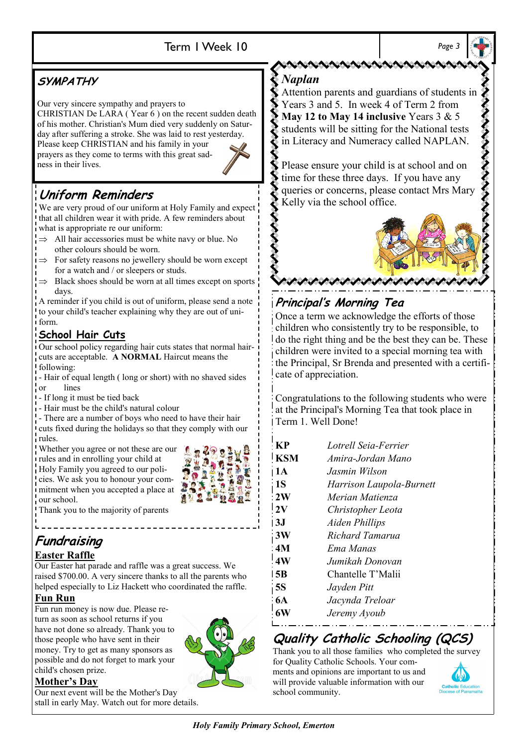# Term 1 Week 10 *Page 3*

# **SYMPATHY**

Our very sincere sympathy and prayers to

CHRISTIAN De LARA ( Year 6 ) on the recent sudden death of his mother. Christian's Mum died very suddenly on Saturday after suffering a stroke. She was laid to rest yesterday.

Please keep CHRISTIAN and his family in your prayers as they come to terms with this great sadness in their lives.



# **Uniform Reminders**

We are very proud of our uniform at Holy Family and expect that all children wear it with pride. A few reminders about what is appropriate re our uniform:

- $\Rightarrow$  All hair accessories must be white navy or blue. No
- other colours should be worn.
- For safety reasons no jewellery should be worn except for a watch and / or sleepers or studs.
- Black shoes should be worn at all times except on sports days.

A reminder if you child is out of uniform, please send a note to your child's teacher explaining why they are out of uniform.

# **School Hair Cuts**

Our school policy regarding hair cuts states that normal haircuts are acceptable. **A NORMAL** Haircut means the following:

- Hair of equal length ( long or short) with no shaved sides or lines

- If long it must be tied back

- Hair must be the child's natural colour

- There are a number of boys who need to have their hair cuts fixed during the holidays so that they comply with our rules.

Whether you agree or not these are our rules and in enrolling your child at Holy Family you agreed to our poli-

cies. We ask you to honour your commitment when you accepted a place at our school.

字 监理  $\overline{0}$   $\overline{2}$ TAN

Thank you to the majority of parents

# **Fundraising**

## **Easter Raffle**

Our Easter hat parade and raffle was a great success. We raised \$700.00. A very sincere thanks to all the parents who helped especially to Liz Hackett who coordinated the raffle.

# **Fun Run**

Fun run money is now due. Please return as soon as school returns if you have not done so already. Thank you to those people who have sent in their money. Try to get as many sponsors as possible and do not forget to mark your child's chosen prize.

## **Mother's Day**

Our next event will be the Mother's Day stall in early May. Watch out for more details.



## *Naplan*

Attention parents and guardians of students in Years 3 and 5. In week 4 of Term 2 from **May 12 to May 14 inclusive** Years 3 & 5 students will be sitting for the National tests in Literacy and Numeracy called NAPLAN.

Please ensure your child is at school and on time for these three days. If you have any queries or concerns, please contact Mrs Mary Kelly via the school office.



# **Principal's Morning Tea**

Once a term we acknowledge the efforts of those children who consistently try to be responsible, to do the right thing and be the best they can be. These children were invited to a special morning tea with the Principal, Sr Brenda and presented with a certificate of appreciation.

Congratulations to the following students who were at the Principal's Morning Tea that took place in Term 1. Well Done!

| K                | Lotrell Seig-Ferrier     |
|------------------|--------------------------|
| <b>KSM</b>       | Amira-Jordan Mano        |
| ı 1 A            | Jasmin Wilson            |
| $\cdot$ 1S       | Harrison Laupola-Burnett |
| 2W               | Merian Matienza          |
| 12V              | Christopher Leota        |
| 13J              | <b>Aiden Phillips</b>    |
| 3W               | Richard Tamarua          |
| $-4M$            | Ema Manas                |
| $\overline{4W}$  | Jumikah Donovan          |
| l 5B             | Chantelle T'Malii        |
| $\overline{15S}$ | Jayden Pitt              |
| $-6A$            | Jacynda Treloar          |
|                  | Jeremy Ayoub             |

# **Quality Catholic Schooling (QCS)**

Thank you to all those families who completed the survey for Quality Catholic Schools. Your comments and opinions are important to us and will provide valuable information with our



school community.